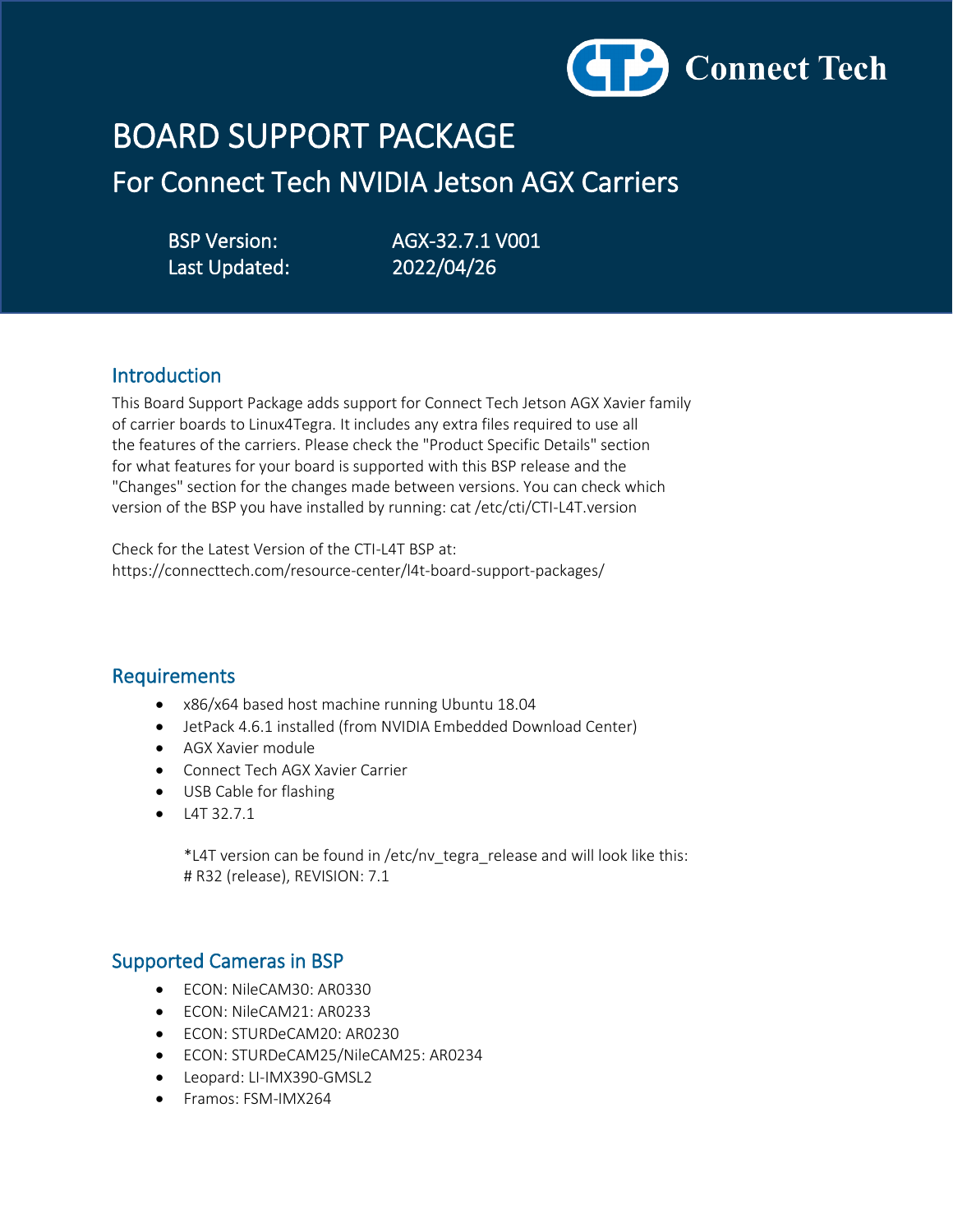

# BOARD SUPPORT PACKAGE

For Connect Tech NVIDIA Jetson AGX Carriers

Last Updated: 2022/04/26

BSP Version: AGX-32.7.1 V001

## Introduction

This Board Support Package adds support for Connect Tech Jetson AGX Xavier family of carrier boards to Linux4Tegra. It includes any extra files required to use all the features of the carriers. Please check the "Product Specific Details" section for what features for your board is supported with this BSP release and the "Changes" section for the changes made between versions. You can check which version of the BSP you have installed by running: cat /etc/cti/CTI-L4T.version

Check for the Latest Version of the CTI-L4T BSP at: https://connecttech.com/resource-center/l4t-board-support-packages/

## Requirements

- x86/x64 based host machine running Ubuntu 18.04
- JetPack 4.6.1 installed (from NVIDIA Embedded Download Center)
- AGX Xavier module
- Connect Tech AGX Xavier Carrier
- USB Cable for flashing
- $\bullet$  L4T 32.7.1

 \*L4T version can be found in /etc/nv\_tegra\_release and will look like this: # R32 (release), REVISION: 7.1

## Supported Cameras in BSP

- ECON: NileCAM30: AR0330
- ECON: NileCAM21: AR0233
- ECON: STURDeCAM20: AR0230
- ECON: STURDeCAM25/NileCAM25: AR0234
- Leopard: LI-IMX390-GMSL2
- Framos: FSM-IMX264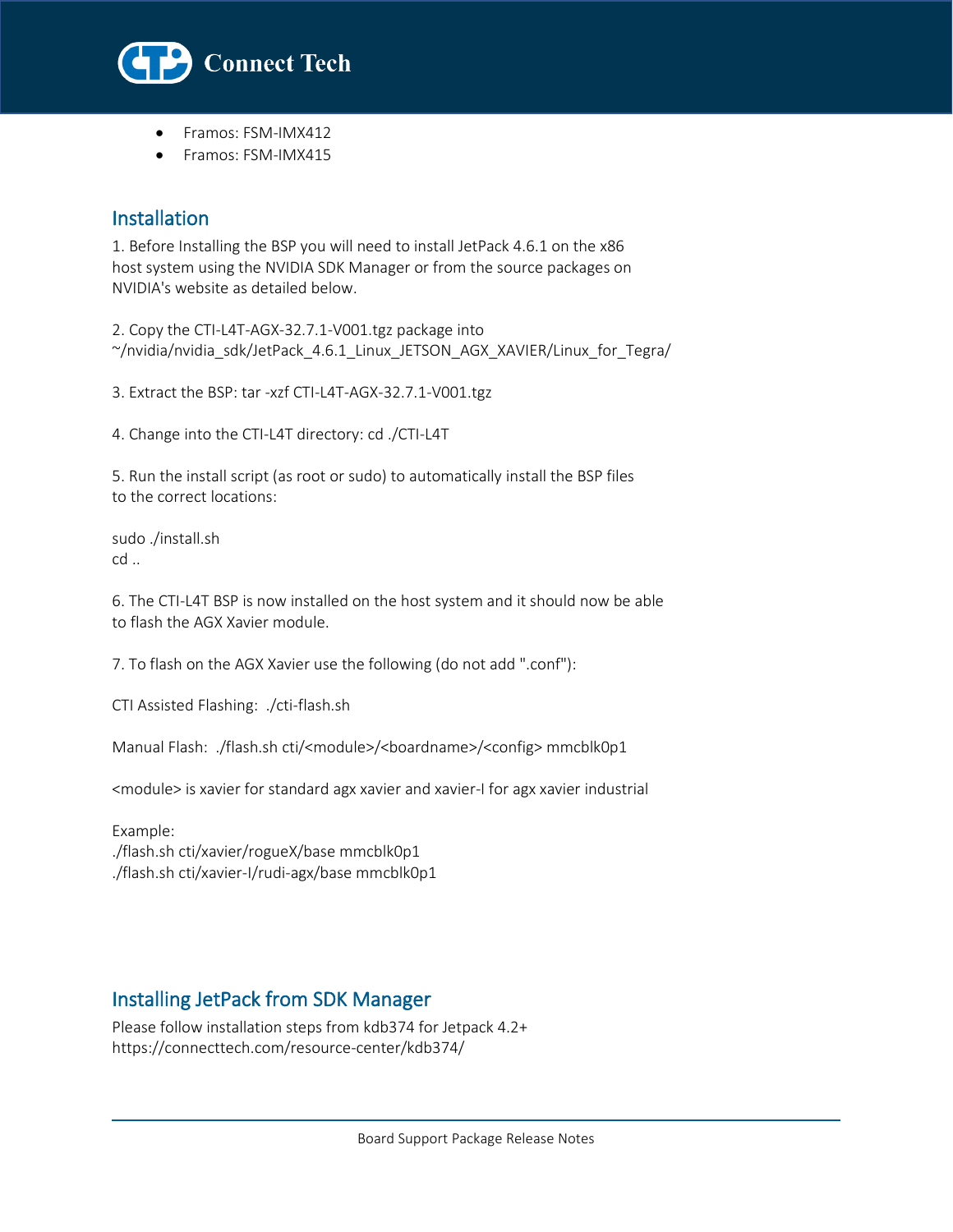

- Framos: FSM-IMX412
- Framos: FSM-IMX415

## Installation

l

1. Before Installing the BSP you will need to install JetPack 4.6.1 on the x86 host system using the NVIDIA SDK Manager or from the source packages on NVIDIA's website as detailed below.

2. Copy the CTI-L4T-AGX-32.7.1-V001.tgz package into ~/nvidia/nvidia\_sdk/JetPack\_4.6.1\_Linux\_JETSON\_AGX\_XAVIER/Linux\_for\_Tegra/

3. Extract the BSP: tar -xzf CTI-L4T-AGX-32.7.1-V001.tgz

4. Change into the CTI-L4T directory: cd ./CTI-L4T

5. Run the install script (as root or sudo) to automatically install the BSP files to the correct locations:

sudo ./install.sh cd ..

6. The CTI-L4T BSP is now installed on the host system and it should now be able to flash the AGX Xavier module.

7. To flash on the AGX Xavier use the following (do not add ".conf"):

CTI Assisted Flashing: ./cti-flash.sh

Manual Flash: ./flash.sh cti/<module>/<boardname>/<config> mmcblk0p1

<module> is xavier for standard agx xavier and xavier-I for agx xavier industrial

Example: ./flash.sh cti/xavier/rogueX/base mmcblk0p1 ./flash.sh cti/xavier-I/rudi-agx/base mmcblk0p1

# Installing JetPack from SDK Manager

Please follow installation steps from kdb374 for Jetpack 4.2+ https://connecttech.com/resource-center/kdb374/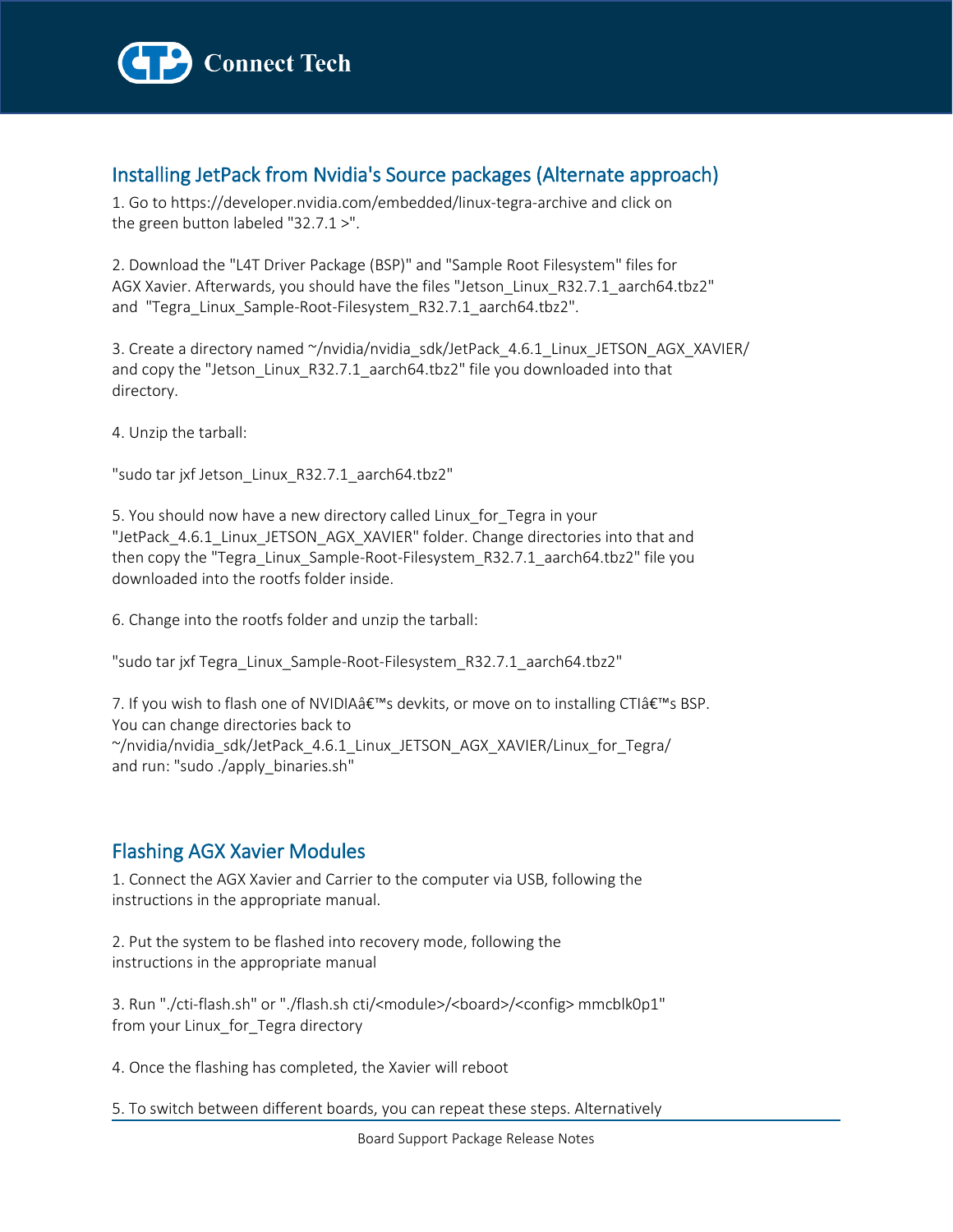

# Installing JetPack from Nvidia's Source packages (Alternate approach)

1. Go to https://developer.nvidia.com/embedded/linux-tegra-archive and click on the green button labeled "32.7.1 >".

2. Download the "L4T Driver Package (BSP)" and "Sample Root Filesystem" files for AGX Xavier. Afterwards, you should have the files "Jetson\_Linux\_R32.7.1\_aarch64.tbz2" and "Tegra\_Linux\_Sample-Root-Filesystem\_R32.7.1\_aarch64.tbz2".

3. Create a directory named ~/nvidia/nvidia\_sdk/JetPack\_4.6.1\_Linux\_JETSON\_AGX\_XAVIER/ and copy the "Jetson\_Linux\_R32.7.1\_aarch64.tbz2" file you downloaded into that directory.

4. Unzip the tarball:

"sudo tar jxf Jetson\_Linux\_R32.7.1\_aarch64.tbz2"

5. You should now have a new directory called Linux\_for\_Tegra in your "JetPack\_4.6.1\_Linux\_JETSON\_AGX\_XAVIER" folder. Change directories into that and then copy the "Tegra\_Linux\_Sample-Root-Filesystem\_R32.7.1\_aarch64.tbz2" file you downloaded into the rootfs folder inside.

6. Change into the rootfs folder and unzip the tarball:

"sudo tar jxf Tegra\_Linux\_Sample-Root-Filesystem\_R32.7.1\_aarch64.tbz2"

7. If you wish to flash one of NVIDIA $\hat{\mathsf{a}} \in \mathbb{M}$ s devkits, or move on to installing CTI $\hat{\mathsf{a}} \in \mathbb{M}$ s BSP. You can change directories back to  $\gamma$ nvidia/nvidia sdk/JetPack 4.6.1 Linux JETSON AGX XAVIER/Linux for Tegra/ and run: "sudo ./apply\_binaries.sh"

# Flashing AGX Xavier Modules

1. Connect the AGX Xavier and Carrier to the computer via USB, following the instructions in the appropriate manual.

2. Put the system to be flashed into recovery mode, following the instructions in the appropriate manual

3. Run "./cti-flash.sh" or "./flash.sh cti/<module>/<board>/<config> mmcblk0p1" from your Linux\_for\_Tegra directory

4. Once the flashing has completed, the Xavier will reboot

5. To switch between different boards, you can repeat these steps. Alternatively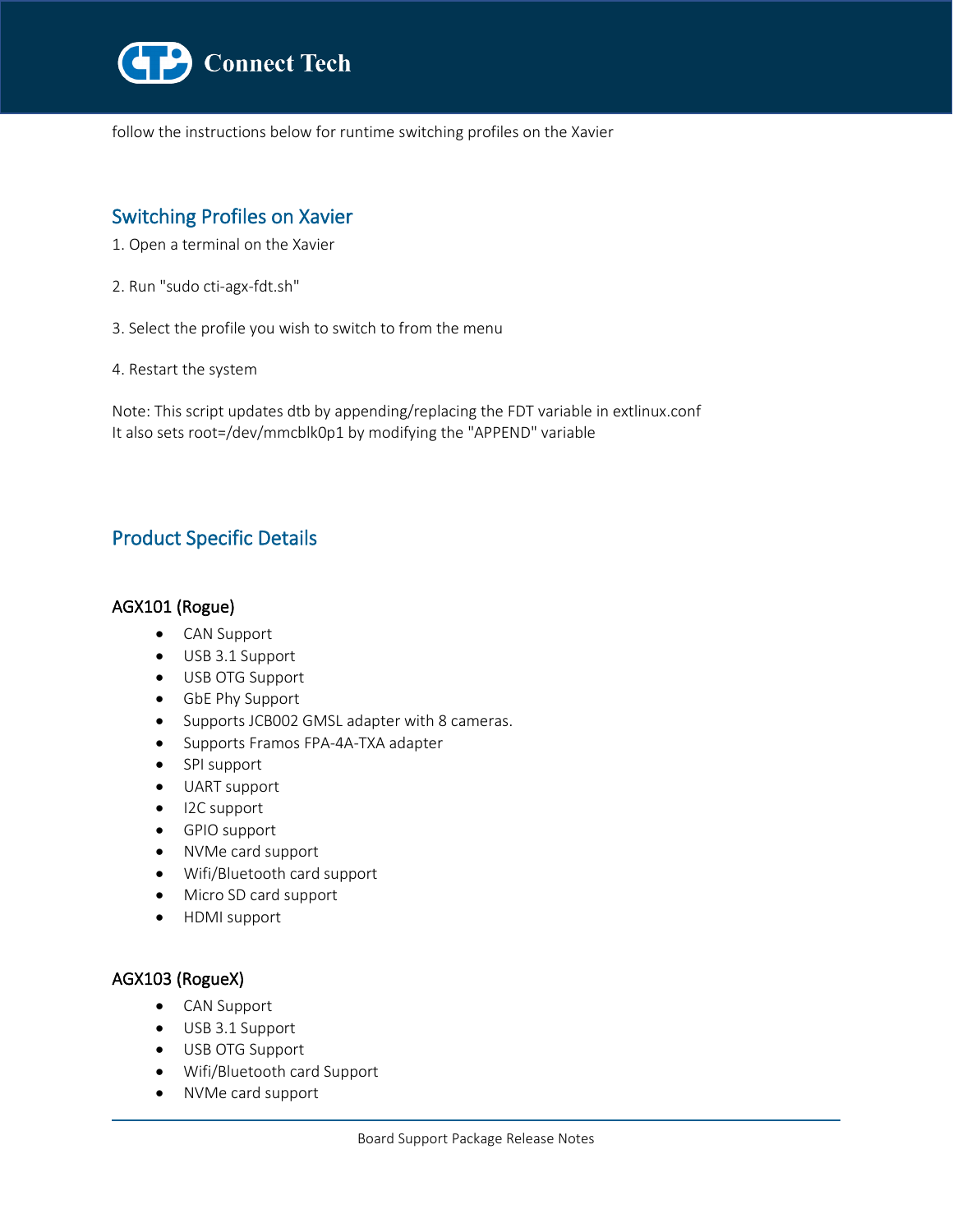

follow the instructions below for runtime switching profiles on the Xavier

# Switching Profiles on Xavier

- 1. Open a terminal on the Xavier
- 2. Run "sudo cti-agx-fdt.sh"
- 3. Select the profile you wish to switch to from the menu
- 4. Restart the system

l

Note: This script updates dtb by appending/replacing the FDT variable in extlinux.conf It also sets root=/dev/mmcblk0p1 by modifying the "APPEND" variable

# Product Specific Details

## AGX101 (Rogue)

- CAN Support
- USB 3.1 Support
- USB OTG Support
- GbE Phy Support
- Supports JCB002 GMSL adapter with 8 cameras.
- Supports Framos FPA-4A-TXA adapter
- SPI support
- UART support
- I2C support
- GPIO support
- NVMe card support
- Wifi/Bluetooth card support
- Micro SD card support
- HDMI support

### AGX103 (RogueX)

- CAN Support
- USB 3.1 Support
- USB OTG Support
- Wifi/Bluetooth card Support
- NVMe card support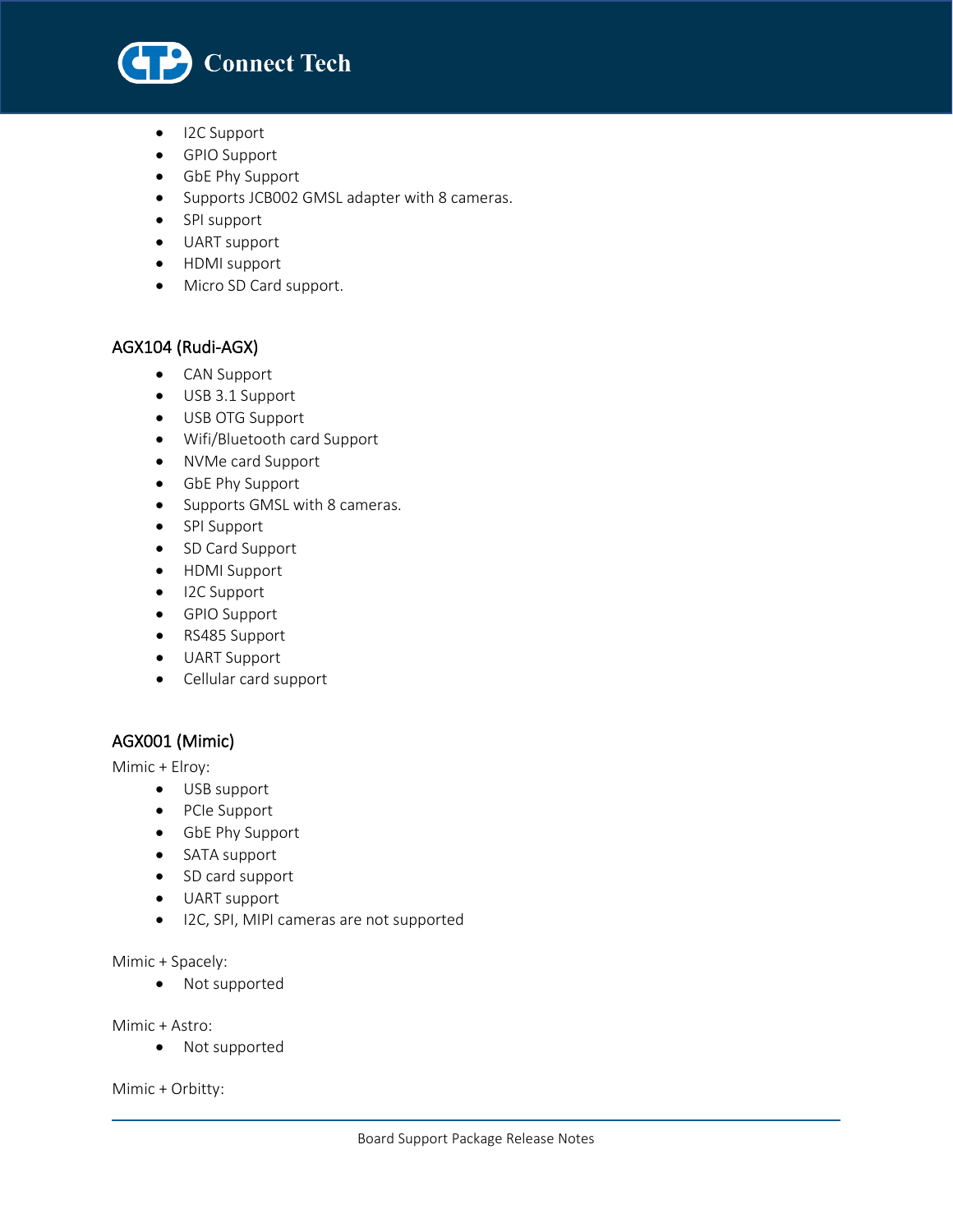

• I2C Support

l

- GPIO Support
- GbE Phy Support
- Supports JCB002 GMSL adapter with 8 cameras.
- SPI support
- UART support
- HDMI support
- Micro SD Card support.

## AGX104 (Rudi-AGX)

- CAN Support
- USB 3.1 Support
- USB OTG Support
- Wifi/Bluetooth card Support
- NVMe card Support
- GbE Phy Support
- Supports GMSL with 8 cameras.
- SPI Support
- SD Card Support
- HDMI Support
- I2C Support
- GPIO Support
- RS485 Support
- UART Support
- Cellular card support

## AGX001 (Mimic)

Mimic + Elroy:

- USB support
- PCIe Support
- GbE Phy Support
- SATA support
- SD card support
- UART support
- I2C, SPI, MIPI cameras are not supported

#### Mimic + Spacely:

• Not supported

Mimic + Astro:

• Not supported

Mimic + Orbitty: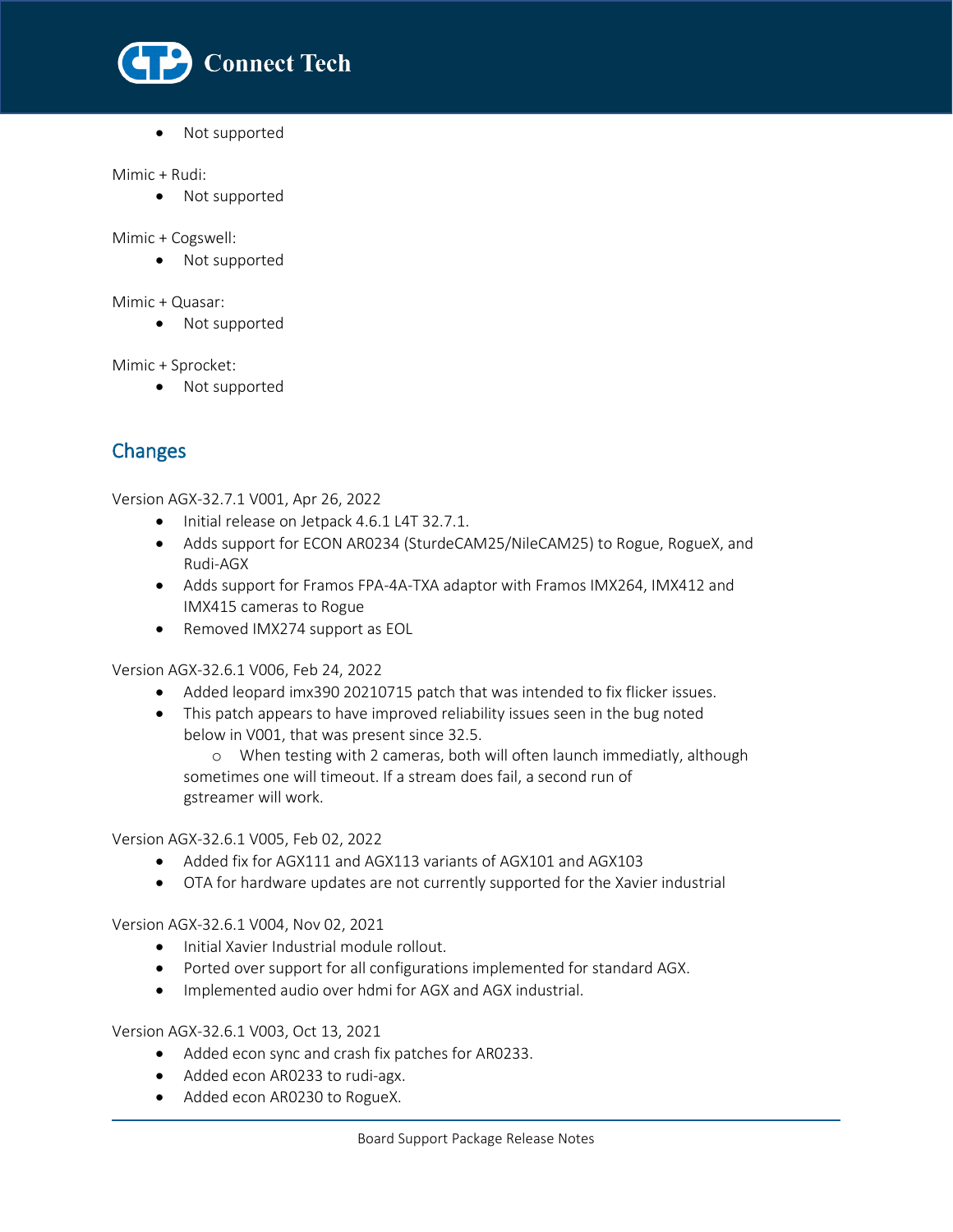

• Not supported

#### Mimic + Rudi:

l

• Not supported

Mimic + Cogswell:

• Not supported

Mimic + Quasar:

• Not supported

Mimic + Sprocket:

• Not supported

# Changes

Version AGX-32.7.1 V001, Apr 26, 2022

- Initial release on Jetpack 4.6.1 L4T 32.7.1.
- Adds support for ECON AR0234 (SturdeCAM25/NileCAM25) to Rogue, RogueX, and Rudi-AGX
- Adds support for Framos FPA-4A-TXA adaptor with Framos IMX264, IMX412 and IMX415 cameras to Rogue
- Removed IMX274 support as EOL

Version AGX-32.6.1 V006, Feb 24, 2022

- Added leopard imx390 20210715 patch that was intended to fix flicker issues.
- This patch appears to have improved reliability issues seen in the bug noted below in V001, that was present since 32.5.

o When testing with 2 cameras, both will often launch immediatly, although sometimes one will timeout. If a stream does fail, a second run of gstreamer will work.

Version AGX-32.6.1 V005, Feb 02, 2022

- Added fix for AGX111 and AGX113 variants of AGX101 and AGX103
- OTA for hardware updates are not currently supported for the Xavier industrial

Version AGX-32.6.1 V004, Nov 02, 2021

- Initial Xavier Industrial module rollout.
- Ported over support for all configurations implemented for standard AGX.
- Implemented audio over hdmi for AGX and AGX industrial.

Version AGX-32.6.1 V003, Oct 13, 2021

- Added econ sync and crash fix patches for AR0233.
- Added econ AR0233 to rudi-agx.
- Added econ AR0230 to RogueX.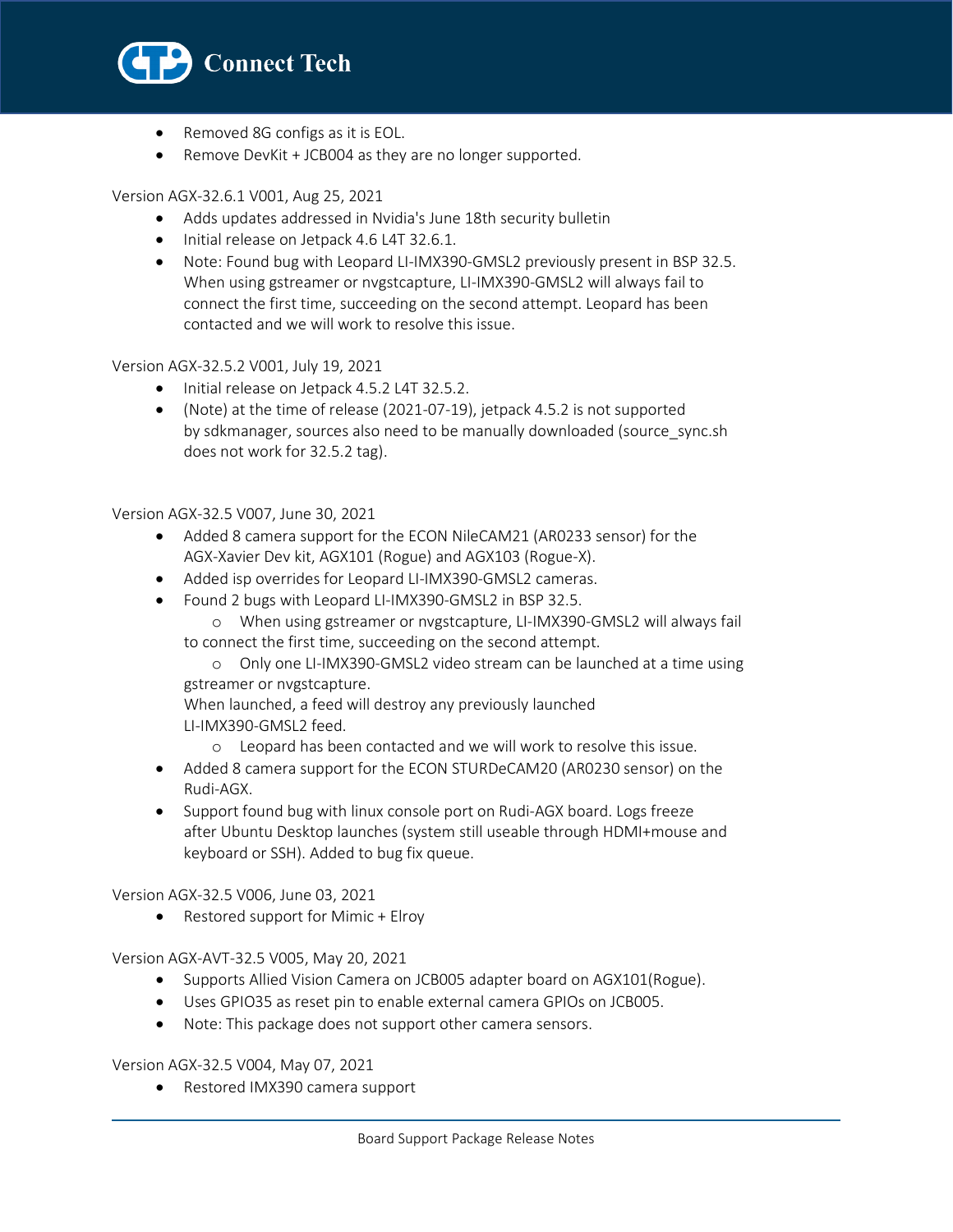

- Removed 8G configs as it is EOL.
- Remove DevKit + JCB004 as they are no longer supported.

#### Version AGX-32.6.1 V001, Aug 25, 2021

- Adds updates addressed in Nvidia's June 18th security bulletin
- Initial release on Jetpack 4.6 L4T 32.6.1.
- Note: Found bug with Leopard LI-IMX390-GMSL2 previously present in BSP 32.5. When using gstreamer or nvgstcapture, LI-IMX390-GMSL2 will always fail to connect the first time, succeeding on the second attempt. Leopard has been contacted and we will work to resolve this issue.

#### Version AGX-32.5.2 V001, July 19, 2021

- Initial release on Jetpack 4.5.2 L4T 32.5.2.
- (Note) at the time of release (2021-07-19), jetpack 4.5.2 is not supported by sdkmanager, sources also need to be manually downloaded (source\_sync.sh does not work for 32.5.2 tag).

#### Version AGX-32.5 V007, June 30, 2021

- Added 8 camera support for the ECON NileCAM21 (AR0233 sensor) for the AGX-Xavier Dev kit, AGX101 (Rogue) and AGX103 (Rogue-X).
- Added isp overrides for Leopard LI-IMX390-GMSL2 cameras.
- Found 2 bugs with Leopard LI-IMX390-GMSL2 in BSP 32.5.
	- o When using gstreamer or nvgstcapture, LI-IMX390-GMSL2 will always fail to connect the first time, succeeding on the second attempt.
	- o Only one LI-IMX390-GMSL2 video stream can be launched at a time using gstreamer or nvgstcapture.

 When launched, a feed will destroy any previously launched LI-IMX390-GMSL2 feed.

- o Leopard has been contacted and we will work to resolve this issue.
- Added 8 camera support for the ECON STURDeCAM20 (AR0230 sensor) on the Rudi-AGX.
- Support found bug with linux console port on Rudi-AGX board. Logs freeze after Ubuntu Desktop launches (system still useable through HDMI+mouse and keyboard or SSH). Added to bug fix queue.

Version AGX-32.5 V006, June 03, 2021

• Restored support for Mimic + Elroy

Version AGX-AVT-32.5 V005, May 20, 2021

- Supports Allied Vision Camera on JCB005 adapter board on AGX101(Rogue).
- Uses GPIO35 as reset pin to enable external camera GPIOs on JCB005.
- Note: This package does not support other camera sensors.

Version AGX-32.5 V004, May 07, 2021

• Restored IMX390 camera support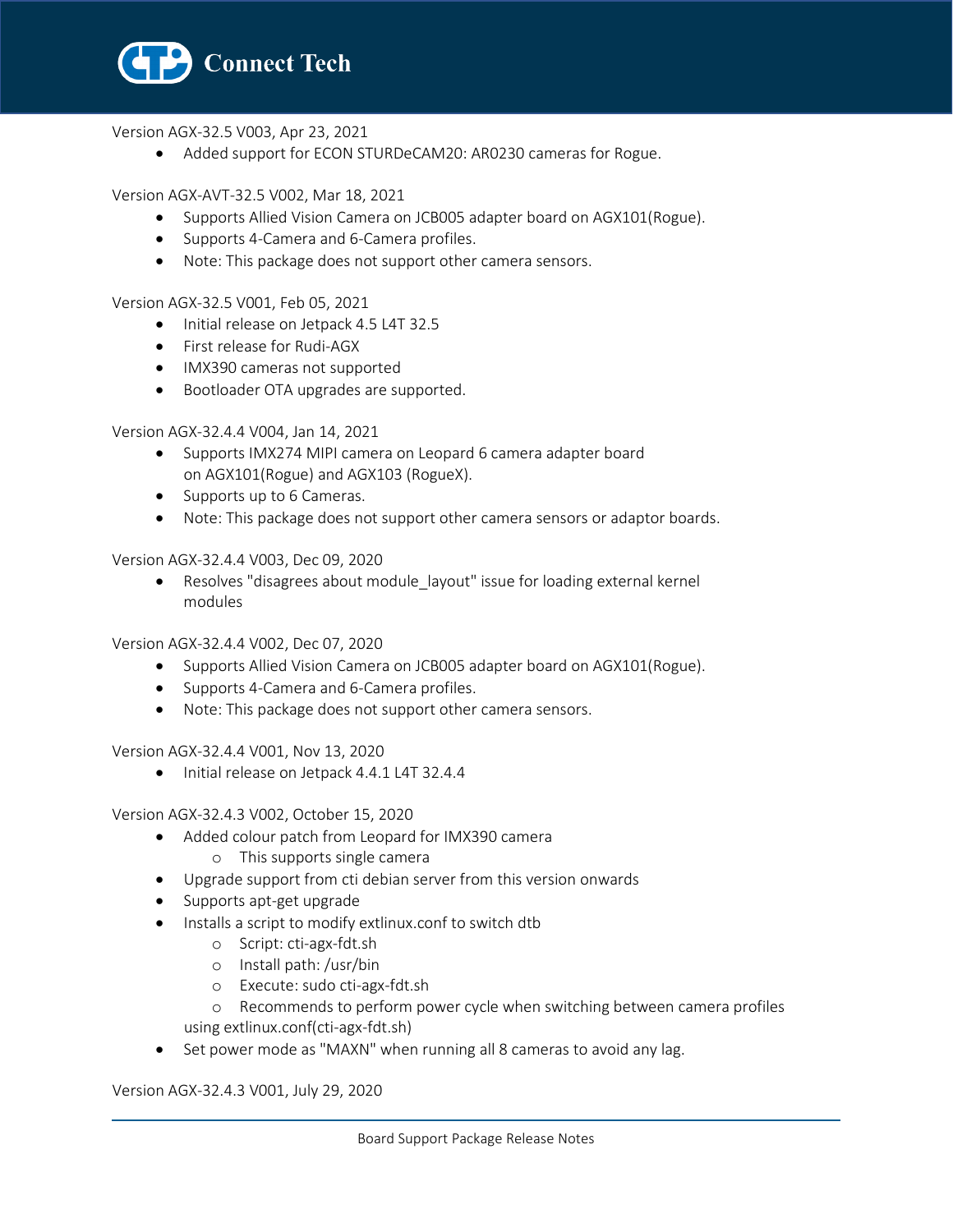

Version AGX-32.5 V003, Apr 23, 2021

• Added support for ECON STURDeCAM20: AR0230 cameras for Rogue.

Version AGX-AVT-32.5 V002, Mar 18, 2021

- Supports Allied Vision Camera on JCB005 adapter board on AGX101(Rogue).
- Supports 4-Camera and 6-Camera profiles.
- Note: This package does not support other camera sensors.

Version AGX-32.5 V001, Feb 05, 2021

- Initial release on Jetpack 4.5 L4T 32.5
- First release for Rudi-AGX
- IMX390 cameras not supported
- Bootloader OTA upgrades are supported.

Version AGX-32.4.4 V004, Jan 14, 2021

- Supports IMX274 MIPI camera on Leopard 6 camera adapter board on AGX101(Rogue) and AGX103 (RogueX).
- Supports up to 6 Cameras.
- Note: This package does not support other camera sensors or adaptor boards.

Version AGX-32.4.4 V003, Dec 09, 2020

• Resolves "disagrees about module\_layout" issue for loading external kernel modules

Version AGX-32.4.4 V002, Dec 07, 2020

- Supports Allied Vision Camera on JCB005 adapter board on AGX101(Rogue).
- Supports 4-Camera and 6-Camera profiles.
- Note: This package does not support other camera sensors.

Version AGX-32.4.4 V001, Nov 13, 2020

• Initial release on Jetpack 4.4.1 L4T 32.4.4

Version AGX-32.4.3 V002, October 15, 2020

- Added colour patch from Leopard for IMX390 camera
	- o This supports single camera
- Upgrade support from cti debian server from this version onwards
- Supports apt-get upgrade
- Installs a script to modify extlinux.conf to switch dtb
	- o Script: cti-agx-fdt.sh
	- o Install path: /usr/bin
	- o Execute: sudo cti-agx-fdt.sh
	- o Recommends to perform power cycle when switching between camera profiles using extlinux.conf(cti-agx-fdt.sh)
- Set power mode as "MAXN" when running all 8 cameras to avoid any lag.

Version AGX-32.4.3 V001, July 29, 2020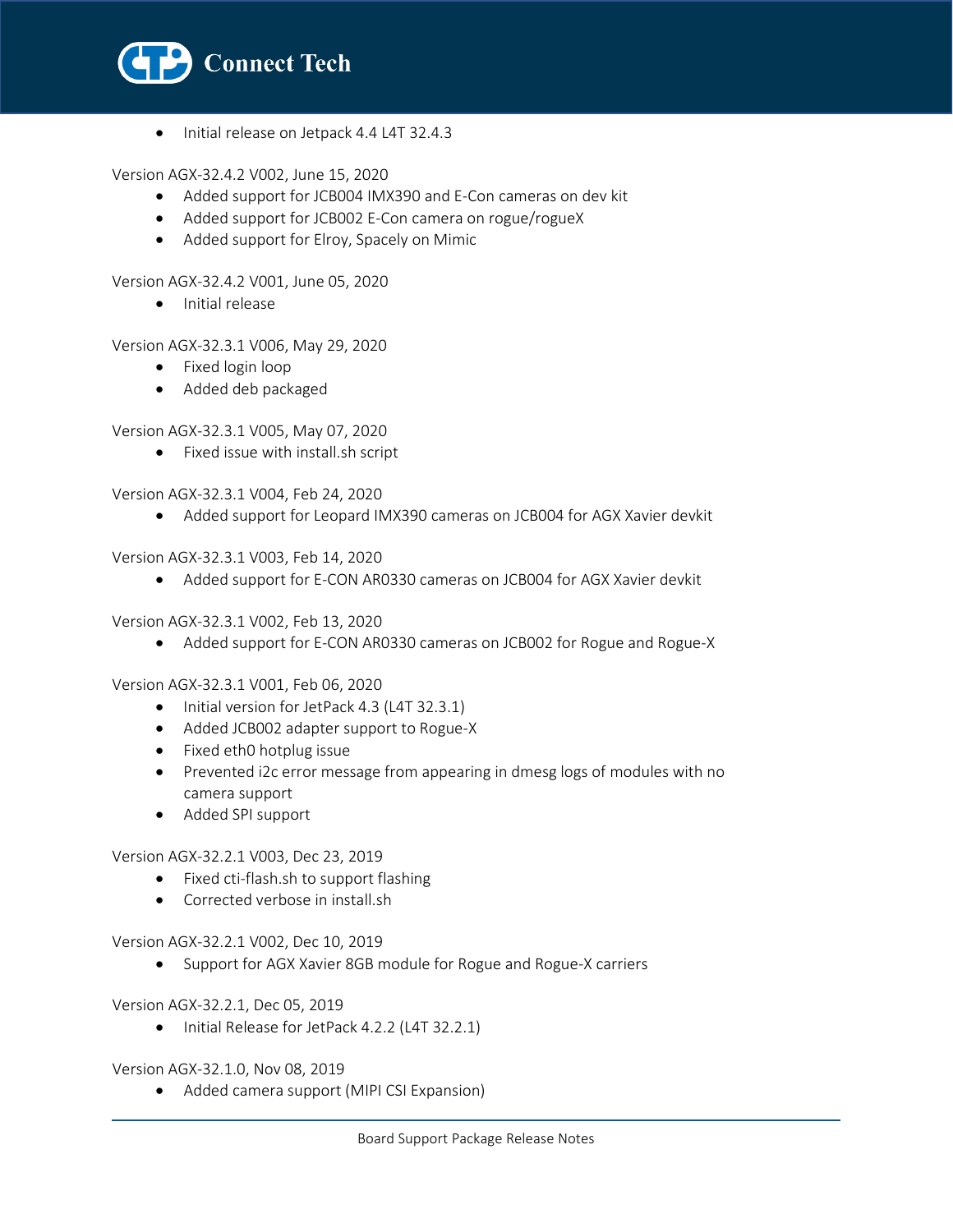

• Initial release on Jetpack 4.4 L4T 32.4.3

Version AGX-32.4.2 V002, June 15, 2020

- Added support for JCB004 IMX390 and E-Con cameras on dev kit
- Added support for JCB002 E-Con camera on rogue/rogueX
- Added support for Elroy, Spacely on Mimic

Version AGX-32.4.2 V001, June 05, 2020

• Initial release

Version AGX-32.3.1 V006, May 29, 2020

- Fixed login loop
- Added deb packaged

Version AGX-32.3.1 V005, May 07, 2020

• Fixed issue with install.sh script

Version AGX-32.3.1 V004, Feb 24, 2020

• Added support for Leopard IMX390 cameras on JCB004 for AGX Xavier devkit

Version AGX-32.3.1 V003, Feb 14, 2020

• Added support for E-CON AR0330 cameras on JCB004 for AGX Xavier devkit

Version AGX-32.3.1 V002, Feb 13, 2020

• Added support for E-CON AR0330 cameras on JCB002 for Rogue and Rogue-X

Version AGX-32.3.1 V001, Feb 06, 2020

- Initial version for JetPack 4.3 (L4T 32.3.1)
- Added JCB002 adapter support to Rogue-X
- Fixed eth0 hotplug issue
- Prevented i2c error message from appearing in dmesg logs of modules with no camera support
- Added SPI support

Version AGX-32.2.1 V003, Dec 23, 2019

- Fixed cti-flash.sh to support flashing
- Corrected verbose in install.sh

#### Version AGX-32.2.1 V002, Dec 10, 2019

• Support for AGX Xavier 8GB module for Rogue and Rogue-X carriers

Version AGX-32.2.1, Dec 05, 2019

• Initial Release for JetPack 4.2.2 (L4T 32.2.1)

Version AGX-32.1.0, Nov 08, 2019

• Added camera support (MIPI CSI Expansion)